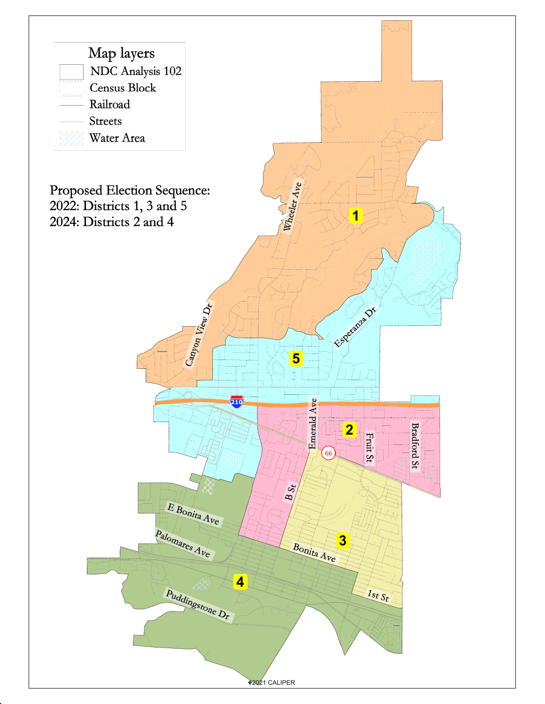